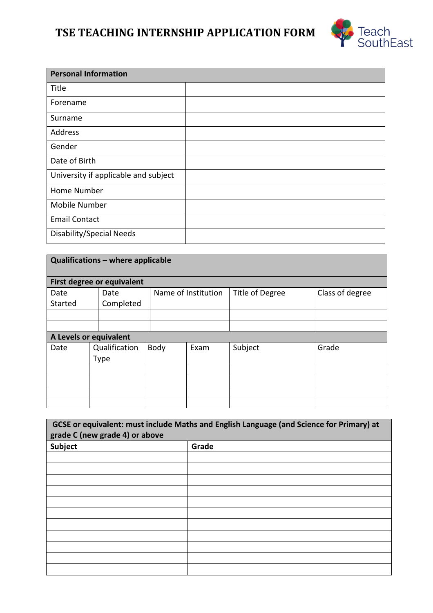# **TSE TEACHING INTERNSHIP APPLICATION FORM**



| <b>Personal Information</b>          |  |
|--------------------------------------|--|
| Title                                |  |
| Forename                             |  |
| Surname                              |  |
| Address                              |  |
| Gender                               |  |
| Date of Birth                        |  |
| University if applicable and subject |  |
| Home Number                          |  |
| <b>Mobile Number</b>                 |  |
| <b>Email Contact</b>                 |  |
| Disability/Special Needs             |  |

|                        | Qualifications - where applicable |      |                     |                 |                 |
|------------------------|-----------------------------------|------|---------------------|-----------------|-----------------|
|                        | <b>First degree or equivalent</b> |      |                     |                 |                 |
| Date                   | Date                              |      | Name of Institution | Title of Degree | Class of degree |
| Started                | Completed                         |      |                     |                 |                 |
|                        |                                   |      |                     |                 |                 |
|                        |                                   |      |                     |                 |                 |
| A Levels or equivalent |                                   |      |                     |                 |                 |
| Date                   | Qualification                     | Body | Exam                | Subject         | Grade           |
|                        | <b>Type</b>                       |      |                     |                 |                 |
|                        |                                   |      |                     |                 |                 |
|                        |                                   |      |                     |                 |                 |
|                        |                                   |      |                     |                 |                 |
|                        |                                   |      |                     |                 |                 |

| grade C (new grade 4) or above | GCSE or equivalent: must include Maths and English Language (and Science for Primary) at |
|--------------------------------|------------------------------------------------------------------------------------------|
| <b>Subject</b>                 | Grade                                                                                    |
|                                |                                                                                          |
|                                |                                                                                          |
|                                |                                                                                          |
|                                |                                                                                          |
|                                |                                                                                          |
|                                |                                                                                          |
|                                |                                                                                          |
|                                |                                                                                          |
|                                |                                                                                          |
|                                |                                                                                          |
|                                |                                                                                          |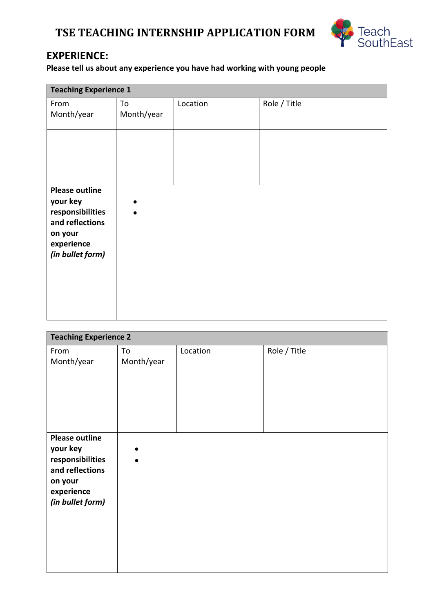## **TSE TEACHING INTERNSHIP APPLICATION FORM**



### **EXPERIENCE:**

**Please tell us about any experience you have had working with young people**

| <b>Teaching Experience 1</b>                                                                                          |                  |          |              |
|-----------------------------------------------------------------------------------------------------------------------|------------------|----------|--------------|
| From<br>Month/year                                                                                                    | To<br>Month/year | Location | Role / Title |
|                                                                                                                       |                  |          |              |
| <b>Please outline</b><br>your key<br>responsibilities<br>and reflections<br>on your<br>experience<br>(in bullet form) |                  |          |              |

| <b>Teaching Experience 2</b>                               |                  |          |              |
|------------------------------------------------------------|------------------|----------|--------------|
| From<br>Month/year                                         | To<br>Month/year | Location | Role / Title |
|                                                            |                  |          |              |
| <b>Please outline</b>                                      |                  |          |              |
| your key<br>responsibilities<br>and reflections<br>on your |                  |          |              |
| experience<br>(in bullet form)                             |                  |          |              |
|                                                            |                  |          |              |
|                                                            |                  |          |              |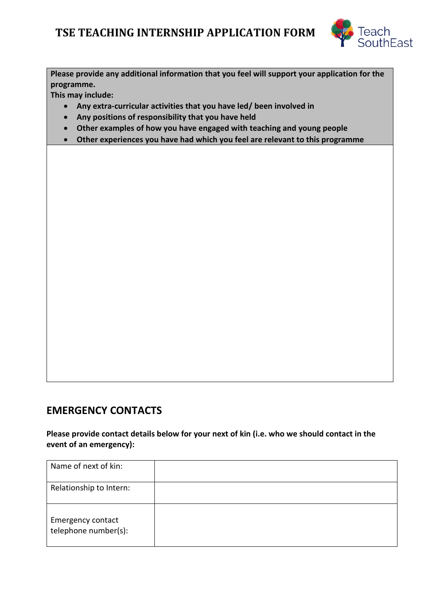

**Please provide any additional information that you feel will support your application for the programme.**

**This may include:**

- **Any extra-curricular activities that you have led/ been involved in**
- **Any positions of responsibility that you have held**
- **Other examples of how you have engaged with teaching and young people**
- **Other experiences you have had which you feel are relevant to this programme**

#### **EMERGENCY CONTACTS**

**Please provide contact details below for your next of kin (i.e. who we should contact in the event of an emergency):**

| Name of next of kin:                             |  |
|--------------------------------------------------|--|
| Relationship to Intern:                          |  |
| <b>Emergency contact</b><br>telephone number(s): |  |